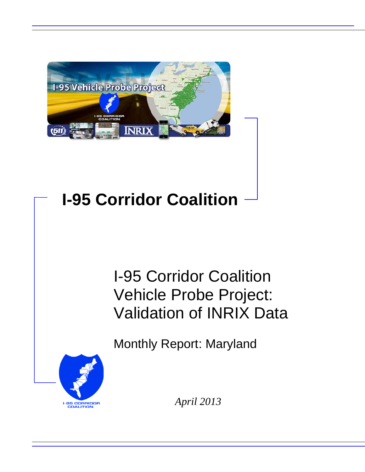

# **I-95 Corridor Coalition**

# I-95 Corridor Coalition Vehicle Probe Project: Validation of INRIX Data

Monthly Report: Maryland



*April 2013*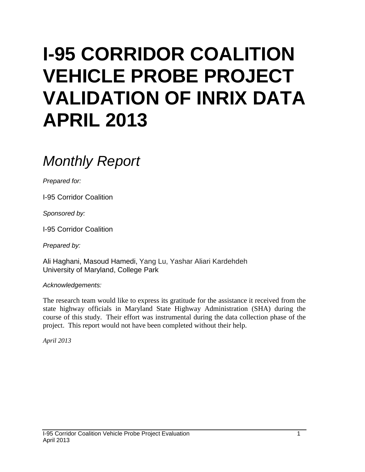# **I-95 CORRIDOR COALITION VEHICLE PROBE PROJECT VALIDATION OF INRIX DATA APRIL 2013**

# *Monthly Report*

*Prepared for:*

I-95 Corridor Coalition

*Sponsored by:*

I-95 Corridor Coalition

*Prepared by:*

Ali Haghani, Masoud Hamedi, Yang Lu, Yashar Aliari Kardehdeh University of Maryland, College Park

*Acknowledgements:*

The research team would like to express its gratitude for the assistance it received from the state highway officials in Maryland State Highway Administration (SHA) during the course of this study. Their effort was instrumental during the data collection phase of the project. This report would not have been completed without their help.

*April 2013*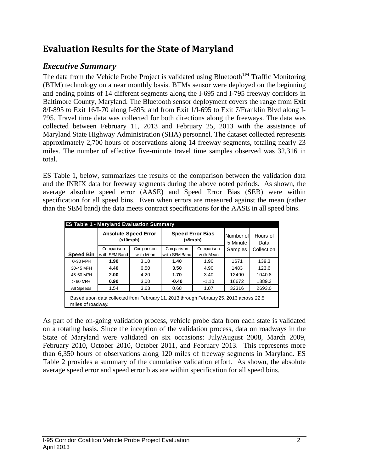# **Evaluation Results for the State of Maryland**

# *Executive Summary*

The data from the Vehicle Probe Project is validated using Bluetooth<sup>TM</sup> Traffic Monitoring (BTM) technology on a near monthly basis. BTMs sensor were deployed on the beginning and ending points of 14 different segments along the I-695 and I-795 freeway corridors in Baltimore County, Maryland. The Bluetooth sensor deployment covers the range from Exit 8/I-895 to Exit 16/I-70 along I-695; and from Exit 1/I-695 to Exit 7/Franklin Blvd along I-795. Travel time data was collected for both directions along the freeways. The data was collected between February 11, 2013 and February 25, 2013 with the assistance of Maryland State Highway Administration (SHA) personnel. The dataset collected represents approximately 2,700 hours of observations along 14 freeway segments, totaling nearly 23 miles. The number of effective five-minute travel time samples observed was 32,316 in total.

ES Table 1, below, summarizes the results of the comparison between the validation data and the INRIX data for freeway segments during the above noted periods. As shown, the average absolute speed error (AASE) and Speed Error Bias (SEB) were within specification for all speed bins. Even when errors are measured against the mean (rather than the SEM band) the data meets contract specifications for the AASE in all speed bins.

| <b>ES Table 1 - Maryland Evaluation Summary</b> |                                                                                        |            |                                    |            |                       |                  |  |  |  |  |
|-------------------------------------------------|----------------------------------------------------------------------------------------|------------|------------------------------------|------------|-----------------------|------------------|--|--|--|--|
|                                                 | <b>Absolute Speed Error</b><br>(<10mph)                                                |            | <b>Speed Error Bias</b><br>(<5mph) |            | Number of<br>5 Minute | Hours of<br>Data |  |  |  |  |
|                                                 | Comparison                                                                             | Comparison | Comparison                         | Comparison |                       | Collection       |  |  |  |  |
| <b>Speed Bin</b>                                | with SEM Band                                                                          | w ith Mean | with SEM Band                      | w ith Mean |                       |                  |  |  |  |  |
| 0-30 MPH                                        | 1.90                                                                                   | 3.10       | 1.40                               | 1.90       | 1671                  | 139.3            |  |  |  |  |
| 30-45 MPH                                       | 4.40<br>6.50                                                                           |            | 3.50                               | 4.90       | 1483                  | 123.6            |  |  |  |  |
| 45-60 MPH                                       | 2.00                                                                                   | 4.20       | 1.70                               | 3.40       | 12490                 | 1040.8           |  |  |  |  |
| $>60$ MPH                                       | 0.90                                                                                   | 3.00       | $-0.40$                            | $-1.10$    | 16672                 | 1389.3           |  |  |  |  |
| All Speeds                                      | 1.54                                                                                   | 3.63       | 0.68                               | 1.07       | 32316                 | 2693.0           |  |  |  |  |
| miles of roadway.                               | Based upon data collected from February 11, 2013 through February 25, 2013 across 22.5 |            |                                    |            |                       |                  |  |  |  |  |

As part of the on-going validation process, vehicle probe data from each state is validated on a rotating basis. Since the inception of the validation process, data on roadways in the State of Maryland were validated on six occasions: July/August 2008, March 2009, February 2010, October 2010, October 2011, and February 2013. This represents more than 6,350 hours of observations along 120 miles of freeway segments in Maryland. ES Table 2 provides a summary of the cumulative validation effort. As shown, the absolute average speed error and speed error bias are within specification for all speed bins.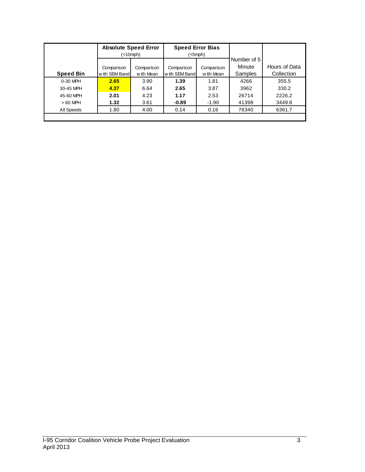|                  | <b>Absolute Speed Error</b> |                          | <b>Speed Error Bias</b>     |                          |                   |                             |
|------------------|-----------------------------|--------------------------|-----------------------------|--------------------------|-------------------|-----------------------------|
|                  |                             | (<10mph)                 |                             | (<5mph)                  | Number of 5       |                             |
| <b>Speed Bin</b> | Comparison<br>with SEM Band | Comparison<br>w ith Mean | Comparison<br>with SEM Band | Comparison<br>w ith Mean | Minute<br>Samples | Hours of Data<br>Collection |
| 0-30 MPH         | 2.65                        | 3.90                     | 1.39                        | 1.81                     | 4266              | 355.5                       |
| 30-45 MPH        | 4.37                        | 6.64                     | 2.65                        | 3.87                     | 3962              | 330.2                       |
| 45-60 MPH        | 2.01                        | 4.23                     | 1.17                        | 2.53                     | 26714             | 2226.2                      |
| $>60$ MPH        | 1.32                        | 3.61                     | $-0.89$                     | $-1.90$                  | 41398             | 3449.8                      |
| All Speeds       | 1.80                        | 4.00                     | 0.14                        | 0.16                     | 76340             | 6361.7                      |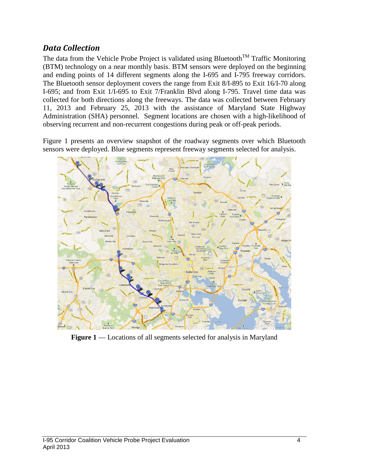# *Data Collection*

The data from the Vehicle Probe Project is validated using Bluetooth<sup>TM</sup> Traffic Monitoring (BTM) technology on a near monthly basis. BTM sensors were deployed on the beginning and ending points of 14 different segments along the I-695 and I-795 freeway corridors. The Bluetooth sensor deployment covers the range from Exit 8/I-895 to Exit 16/I-70 along I-695; and from Exit 1/I-695 to Exit 7/Franklin Blvd along I-795. Travel time data was collected for both directions along the freeways. The data was collected between February 11, 2013 and February 25, 2013 with the assistance of Maryland State Highway Administration (SHA) personnel. Segment locations are chosen with a high-likelihood of observing recurrent and non-recurrent congestions during peak or off-peak periods.

Figure 1 presents an overview snapshot of the roadway segments over which Bluetooth sensors were deployed. Blue segments represent freeway segments selected for analysis.



**Figure 1** — Locations of all segments selected for analysis in Maryland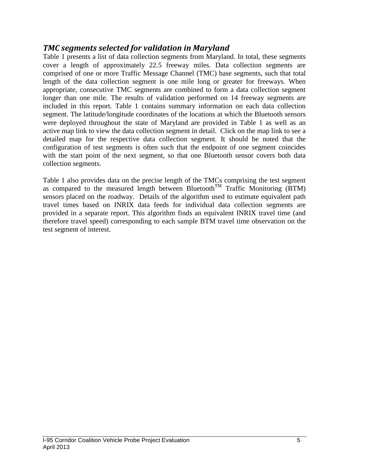# *TMC segments selected for validation in Maryland*

Table 1 presents a list of data collection segments from Maryland. In total, these segments cover a length of approximately 22.5 freeway miles. Data collection segments are comprised of one or more Traffic Message Channel (TMC) base segments, such that total length of the data collection segment is one mile long or greater for freeways. When appropriate, consecutive TMC segments are combined to form a data collection segment longer than one mile. The results of validation performed on 14 freeway segments are included in this report. Table 1 contains summary information on each data collection segment. The latitude/longitude coordinates of the locations at which the Bluetooth sensors were deployed throughout the state of Maryland are provided in Table 1 as well as an active map link to view the data collection segment in detail. Click on the map link to see a detailed map for the respective data collection segment. It should be noted that the configuration of test segments is often such that the endpoint of one segment coincides with the start point of the next segment, so that one Bluetooth sensor covers both data collection segments.

Table 1 also provides data on the precise length of the TMCs comprising the test segment as compared to the measured length between  $B$ luetooth<sup>TM</sup> Traffic Monitoring (BTM) sensors placed on the roadway. Details of the algorithm used to estimate equivalent path travel times based on INRIX data feeds for individual data collection segments are provided in a separate report. This algorithm finds an equivalent INRIX travel time (and therefore travel speed) corresponding to each sample BTM travel time observation on the test segment of interest.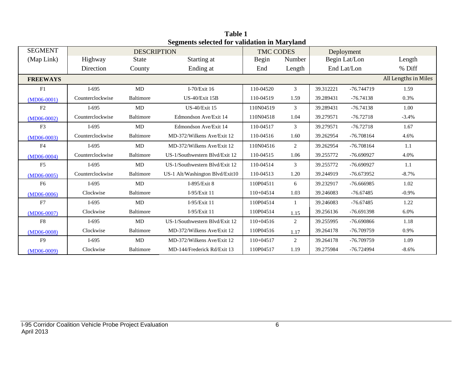|                 | Seguients selected for vanuation in Maryland |                    |                                 |                  |              |           |               |                      |  |
|-----------------|----------------------------------------------|--------------------|---------------------------------|------------------|--------------|-----------|---------------|----------------------|--|
| <b>SEGMENT</b>  |                                              | <b>DESCRIPTION</b> |                                 | <b>TMC CODES</b> |              |           | Deployment    |                      |  |
| (Map Link)      | Highway                                      | <b>State</b>       | Starting at                     | Begin            | Number       |           | Begin Lat/Lon | Length               |  |
|                 | Direction                                    | County             | Ending at                       | End              | Length       |           | End Lat/Lon   | % Diff               |  |
| <b>FREEWAYS</b> |                                              |                    |                                 |                  |              |           |               | All Lengths in Miles |  |
| F1              | $I-695$                                      | MD                 | I-70/Exit 16                    | 110-04520        | 3            | 39.312221 | -76.744719    | 1.59                 |  |
| $(MD06-0001)$   | Counterclockwise                             | Baltimore          | $US-40/E$ xit 15B               | 110-04519        | 1.59         | 39.289431 | $-76.74138$   | 0.3%                 |  |
| F2              | $I-695$                                      | MD                 | <b>US-40/Exit 15</b>            | 110N04519        | 3            | 39.289431 | $-76.74138$   | 1.00                 |  |
| $(MD06-0002)$   | Counterclockwise                             | Baltimore          | Edmondson Ave/Exit 14           | 110N04518        | 1.04         | 39.279571 | $-76.72718$   | $-3.4%$              |  |
| F <sub>3</sub>  | $I-695$                                      | MD                 | Edmondson Ave/Exit 14           | 110-04517        | 3            | 39.279571 | $-76.72718$   | 1.67                 |  |
| $(MD06-0003)$   | Counterclockwise                             | Baltimore          | MD-372/Wilkens Ave/Exit 12      | 110-04516        | 1.60         | 39.262954 | $-76.708164$  | 4.6%                 |  |
| F <sub>4</sub>  | $I-695$                                      | MD                 | MD-372/Wilkens Ave/Exit 12      | 110N04516        | 2            | 39.262954 | $-76.708164$  | 1.1                  |  |
| $(MD06-0004)$   | Counterclockwise                             | Baltimore          | US-1/Southwestern Blvd/Exit 12  | 110-04515        | 1.06         | 39.255772 | $-76.690927$  | 4.0%                 |  |
| F <sub>5</sub>  | $I-695$                                      | MD                 | US-1/Southwestern Blvd/Exit 12  | 110-04514        | 3            | 39.255772 | $-76.690927$  | 1.1                  |  |
| $(MD06-0005)$   | Counterclockwise                             | Baltimore          | US-1 Alt/Washington Blvd/Exit10 | 110-04513        | 1.20         | 39.244919 | -76.673952    | $-8.7%$              |  |
| F <sub>6</sub>  | $I-695$                                      | MD                 | I-895/Exit 8                    | 110P04511        | 6            | 39.232917 | $-76.666985$  | 1.02                 |  |
| $(MD06-0006)$   | Clockwise                                    | Baltimore          | I-95/Exit 11                    | $110+04514$      | 1.03         | 39.246083 | $-76.67485$   | $-0.9\%$             |  |
| F7              | $I-695$                                      | MD                 | I-95/Exit 11                    | 110P04514        | $\mathbf{1}$ | 39.246083 | $-76.67485$   | 1.22                 |  |
| $(MD06-0007)$   | Clockwise                                    | Baltimore          | I-95/Exit 11                    | 110P04514        | 1.15         | 39.256136 | -76.691398    | 6.0%                 |  |
| F <sub>8</sub>  | $I-695$                                      | MD                 | US-1/Southwestern Blvd/Exit 12  | 110+04516        | 2            | 39.255995 | -76.690866    | 1.18                 |  |
| $(MD06-0008)$   | Clockwise                                    | Baltimore          | MD-372/Wilkens Ave/Exit 12      | 110P04516        | 1.17         | 39.264178 | -76.709759    | 0.9%                 |  |
| F <sub>9</sub>  | $I-695$                                      | MD                 | MD-372/Wilkens Ave/Exit 12      | $110+04517$      | 2            | 39.264178 | -76.709759    | 1.09                 |  |
| $(MD06-0009)$   | Clockwise                                    | Baltimore          | MD-144/Frederick Rd/Exit 13     | 110P04517        | 1.19         | 39.275984 | -76.724994    | $-8.6\%$             |  |

**Table 1 Segments selected for validation in Maryland**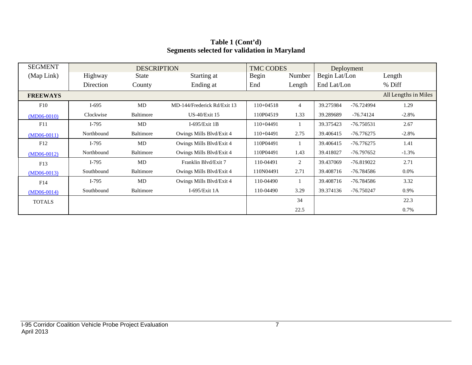| <b>SEGMENT</b>  |            | <b>DESCRIPTION</b> |                             | <b>TMC CODES</b> |                | Deployment    |              |                      |
|-----------------|------------|--------------------|-----------------------------|------------------|----------------|---------------|--------------|----------------------|
| (Map Link)      | Highway    | <b>State</b>       | Starting at                 | Begin            | Number         | Begin Lat/Lon |              | Length               |
|                 | Direction  | County             | Ending at                   | End              | Length         | End Lat/Lon   |              | % Diff               |
| <b>FREEWAYS</b> |            |                    |                             |                  |                |               |              | All Lengths in Miles |
| F10             | $I-695$    | MD                 | MD-144/Frederick Rd/Exit 13 | $110+04518$      | $\overline{4}$ | 39.275984     | -76.724994   | 1.29                 |
| $(MD06-0010)$   | Clockwise  | Baltimore          | <b>US-40/Exit 15</b>        | 110P04519        | 1.33           | 39.289689     | $-76.74124$  | $-2.8%$              |
| F11             | $I-795$    | MD                 | I-695/Exit $1B$             | $110+04491$      |                | 39.375423     | -76.750531   | 2.67                 |
| $(MD06-0011)$   | Northbound | Baltimore          | Owings Mills Blvd/Exit 4    | 110+04491        | 2.75           | 39.406415     | $-76.776275$ | $-2.8%$              |
| F12             | $I-795$    | MD                 | Owings Mills Blvd/Exit 4    | 110P04491        |                | 39.406415     | $-76.776275$ | 1.41                 |
| $(MD06-0012)$   | Northbound | Baltimore          | Owings Mills Blvd/Exit 4    | 110P04491        | 1.43           | 39.418027     | $-76.797652$ | $-1.3%$              |
| F13             | $I-795$    | MD                 | Franklin Blvd/Exit 7        | 110-04491        | 2              | 39.437069     | $-76.819022$ | 2.71                 |
| $(MD06-0013)$   | Southbound | Baltimore          | Owings Mills Blvd/Exit 4    | 110N04491        | 2.71           | 39.408716     | $-76.784586$ | $0.0\%$              |
| F14             | $I-795$    | MD                 | Owings Mills Blvd/Exit 4    | 110-04490        |                | 39.408716     | -76.784586   | 3.32                 |
| $(MD06-0014)$   | Southbound | Baltimore          | I-695/Exit $1A$             | 110-04490        | 3.29           | 39.374136     | -76.750247   | 0.9%                 |
| <b>TOTALS</b>   |            |                    |                             |                  | 34             |               |              | 22.3                 |
|                 |            |                    |                             |                  | 22.5           |               |              | 0.7%                 |

## **Table 1 (Cont'd) Segments selected for validation in Maryland**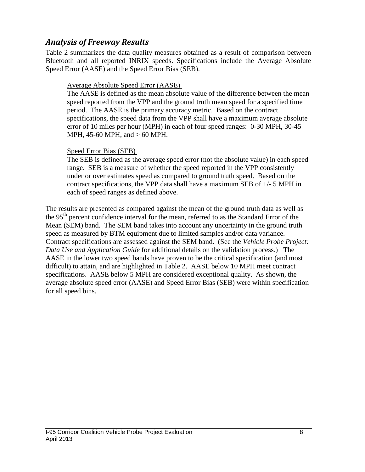# *Analysis of Freeway Results*

Table 2 summarizes the data quality measures obtained as a result of comparison between Bluetooth and all reported INRIX speeds. Specifications include the Average Absolute Speed Error (AASE) and the Speed Error Bias (SEB).

### Average Absolute Speed Error (AASE)

The AASE is defined as the mean absolute value of the difference between the mean speed reported from the VPP and the ground truth mean speed for a specified time period. The AASE is the primary accuracy metric. Based on the contract specifications, the speed data from the VPP shall have a maximum average absolute error of 10 miles per hour (MPH) in each of four speed ranges: 0-30 MPH, 30-45 MPH, 45-60 MPH, and > 60 MPH.

#### Speed Error Bias (SEB)

The SEB is defined as the average speed error (not the absolute value) in each speed range. SEB is a measure of whether the speed reported in the VPP consistently under or over estimates speed as compared to ground truth speed. Based on the contract specifications, the VPP data shall have a maximum SEB of +/- 5 MPH in each of speed ranges as defined above.

The results are presented as compared against the mean of the ground truth data as well as the 95<sup>th</sup> percent confidence interval for the mean, referred to as the Standard Error of the Mean (SEM) band. The SEM band takes into account any uncertainty in the ground truth speed as measured by BTM equipment due to limited samples and/or data variance. Contract specifications are assessed against the SEM band. (See the *Vehicle Probe Project: Data Use and Application Guide* for additional details on the validation process.) The AASE in the lower two speed bands have proven to be the critical specification (and most difficult) to attain, and are highlighted in Table 2. AASE below 10 MPH meet contract specifications. AASE below 5 MPH are considered exceptional quality. As shown, the average absolute speed error (AASE) and Speed Error Bias (SEB) were within specification for all speed bins.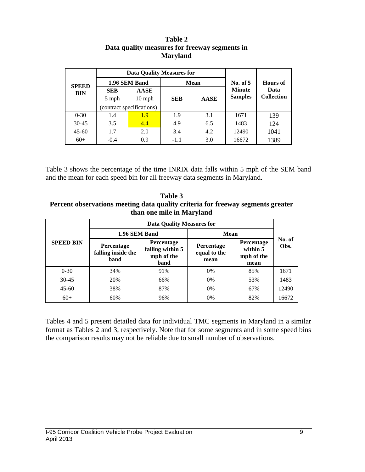|                            |                           | Data Quality Measures for |            |             |                |                                              |  |
|----------------------------|---------------------------|---------------------------|------------|-------------|----------------|----------------------------------------------|--|
| <b>SPEED</b><br><b>BIN</b> |                           | 1.96 SEM Band             |            | Mean        | No. of $5$     | <b>Hours</b> of<br>Data<br><b>Collection</b> |  |
|                            | <b>SEB</b>                | <b>AASE</b>               |            |             | <b>Minute</b>  |                                              |  |
|                            | 5 mph                     | $10 \text{ mph}$          | <b>SEB</b> | <b>AASE</b> | <b>Samples</b> |                                              |  |
|                            | (contract specifications) |                           |            |             |                |                                              |  |
| $0 - 30$                   | 1.4                       | 1.9                       | 1.9        | 3.1         | 1671           | 139                                          |  |
| $30 - 45$                  | 3.5                       | 4.4                       | 4.9        | 6.5         | 1483           | 124                                          |  |
| $45 - 60$                  | 1.7                       | 2.0                       | 3.4        | 4.2         | 12490          | 1041                                         |  |
| $60+$                      | $-0.4$                    | 0.9                       | $-1.1$     | 3.0         | 16672          | 1389                                         |  |

#### **Table 2 Data quality measures for freeway segments in Maryland**

Table 3 shows the percentage of the time INRIX data falls within 5 mph of the SEM band and the mean for each speed bin for all freeway data segments in Maryland.

**Table 3 Percent observations meeting data quality criteria for freeway segments greater than one mile in Maryland**

|                  | Data Quality Measures for                       |                                                      |                                    |                                                     |                |  |  |  |
|------------------|-------------------------------------------------|------------------------------------------------------|------------------------------------|-----------------------------------------------------|----------------|--|--|--|
|                  | 1.96 SEM Band                                   |                                                      | <b>Mean</b>                        |                                                     |                |  |  |  |
| <b>SPEED BIN</b> | Percentage<br>falling inside the<br><b>band</b> | Percentage<br>falling within 5<br>mph of the<br>band | Percentage<br>equal to the<br>mean | <b>Percentage</b><br>within 5<br>mph of the<br>mean | No. of<br>Obs. |  |  |  |
| $0 - 30$         | 34%                                             | 91%                                                  | 0%                                 | 85%                                                 | 1671           |  |  |  |
| $30 - 45$        | 20%                                             | 66%                                                  | 0%                                 | 53%                                                 | 1483           |  |  |  |
| $45 - 60$        | 38%                                             | 87%                                                  | 0%                                 | 67%                                                 | 12490          |  |  |  |
| $60+$            | 60%                                             | 96%                                                  | 0%                                 | 82%                                                 | 16672          |  |  |  |

Tables 4 and 5 present detailed data for individual TMC segments in Maryland in a similar format as Tables 2 and 3, respectively. Note that for some segments and in some speed bins the comparison results may not be reliable due to small number of observations.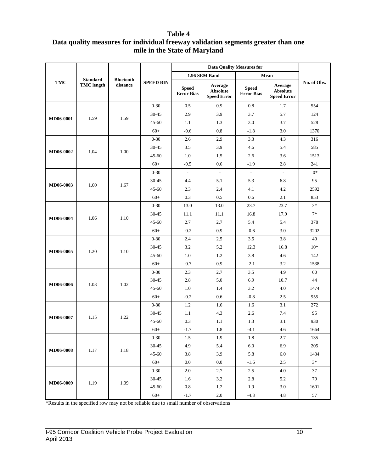### **Table 4 Data quality measures for individual freeway validation segments greater than one mile in the State of Maryland**

|                  |                                      |                  |                  |                                   | <b>Data Quality Measures for</b>          |                                   |                                                  |             |
|------------------|--------------------------------------|------------------|------------------|-----------------------------------|-------------------------------------------|-----------------------------------|--------------------------------------------------|-------------|
|                  |                                      | <b>Bluetooth</b> |                  |                                   | 1.96 SEM Band                             |                                   | Mean                                             |             |
| TMC              | <b>Standard</b><br><b>TMC</b> length | distance         | <b>SPEED BIN</b> | <b>Speed</b><br><b>Error Bias</b> | Average<br>Absolute<br><b>Speed Error</b> | <b>Speed</b><br><b>Error Bias</b> | Average<br><b>Absolute</b><br><b>Speed Error</b> | No. of Obs. |
|                  |                                      |                  | $0 - 30$         | $0.5\,$                           | 0.9                                       | $\rm 0.8$                         | 1.7                                              | 554         |
|                  |                                      |                  | 30-45            | 2.9                               | 3.9                                       | 3.7                               | 5.7                                              | 124         |
| MD06-0001        | 1.59                                 | 1.59             | $45 - 60$        | 1.1                               | 1.3                                       | 3.0                               | 3.7                                              | 528         |
|                  |                                      |                  | $60+$            | $-0.6$                            | 0.8                                       | $-1.8$                            | 3.0                                              | 1370        |
|                  |                                      |                  | $0 - 30$         | 2.6                               | 2.9                                       | 3.3                               | 4.3                                              | 316         |
|                  | 1.04                                 | 1.00             | 30-45            | 3.5                               | 3.9                                       | 4.6                               | 5.4                                              | 585         |
| MD06-0002        |                                      |                  | $45 - 60$        | $1.0\,$                           | 1.5                                       | 2.6                               | 3.6                                              | 1513        |
|                  |                                      |                  | $60+$            | $-0.5$                            | 0.6                                       | $-1.9$                            | 2.8                                              | 241         |
|                  |                                      |                  | $0 - 30$         | $\Box$                            | $\overline{\phantom{a}}$                  | $\Box$                            | $\sim$                                           | $0*$        |
|                  |                                      | 1.67             | 30-45            | 4.4                               | 5.1                                       | 5.3                               | 6.8                                              | 95          |
| MD06-0003        | 1.60                                 |                  | $45 - 60$        | 2.3                               | 2.4                                       | 4.1                               | 4.2                                              | 2592        |
|                  |                                      |                  | $60+$            | 0.3                               | 0.5                                       | 0.6                               | 2.1                                              | 853         |
|                  |                                      |                  | $0 - 30$         | 13.0                              | 13.0                                      | 23.7                              | 23.7                                             | $3*$        |
|                  |                                      |                  | $30 - 45$        | 11.1                              | 11.1                                      | 16.8                              | 17.9                                             | $7*$        |
| MD06-0004        | 1.06                                 | 1.10             | $45 - 60$        | 2.7                               | $2.7\,$                                   | 5.4                               | 5.4                                              | 378         |
|                  |                                      |                  | $60+$            | $-0.2$                            | 0.9                                       | $-0.6$                            | 3.0                                              | 3202        |
|                  |                                      |                  | $0 - 30$         | 2.4                               | 2.5                                       | 3.5                               | 3.8                                              | 40          |
|                  |                                      |                  | 30-45            | 3.2                               | 5.2                                       | 12.3                              | 16.8                                             | $10*$       |
| MD06-0005        | 1.20                                 | 1.10             | $45 - 60$        | 1.0                               | 1.2                                       | 3.8                               | 4.6                                              | 142         |
|                  |                                      |                  | $60+$            | $-0.7$                            | 0.9                                       | $-2.1$                            | 3.2                                              | 1538        |
|                  |                                      |                  | $0 - 30$         | 2.3                               | 2.7                                       | 3.5                               | 4.9                                              | $60\,$      |
|                  |                                      |                  | 30-45            | 2.8                               | 5.0                                       | 6.9                               | 10.7                                             | 44          |
| <b>MD06-0006</b> | 1.03                                 | 1.02             | $45 - 60$        | $1.0\,$                           | 1.4                                       | 3.2                               | 4.0                                              | 1474        |
|                  |                                      |                  | $60+$            | $-0.2$                            | 0.6                                       | $-0.8$                            | 2.5                                              | 955         |
|                  |                                      |                  | $0 - 30$         | 1.2                               | 1.6                                       | 1.6                               | 3.1                                              | 272         |
|                  |                                      |                  | $30 - 45$        | 1.1                               | 4.3                                       | 2.6                               | 7.4                                              | 95          |
| MD06-0007        | 1.15                                 | 1.22             | $45 - 60$        | 0.3                               | 1.1                                       | 1.3                               | 3.1                                              | 930         |
|                  |                                      |                  | $60+$            | $-1.7$                            | $1.8\,$                                   | $-4.1$                            | 4.6                                              | 1664        |
|                  |                                      |                  | $0 - 30$         | 1.5                               | 1.9                                       | 1.8                               | 2.7                                              | 135         |
|                  |                                      |                  | $30 - 45$        | 4.9                               | 5.4                                       | 6.0                               | 6.9                                              | 205         |
| MD06-0008        | 1.17                                 | $1.18\,$         | $45 - 60$        | 3.8                               | 3.9                                       | 5.8                               | 6.0                                              | 1434        |
|                  |                                      |                  | $60+$            | $0.0\,$                           | $0.0\,$                                   | $-1.6$                            | 2.5                                              | $3*$        |
|                  |                                      |                  | $0 - 30$         | $2.0\,$                           | 2.7                                       | $2.5\,$                           | 4.0                                              | 37          |
|                  |                                      |                  | $30 - 45$        | 1.6                               | 3.2                                       | 2.8                               | 5.2                                              | 79          |
| MD06-0009        | 1.19                                 | 1.09             | $45 - 60$        | $\rm 0.8$                         | $1.2\,$                                   | 1.9                               | 3.0                                              | 1601        |
|                  |                                      |                  | $60+$            | $-1.7$                            | $2.0\,$                                   | $-4.3$                            | $4.8\,$                                          | 57          |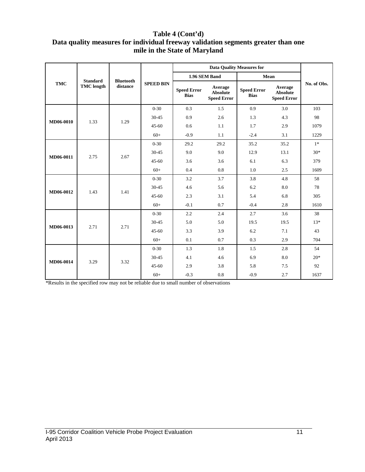## **Table 4 (Cont'd) Data quality measures for individual freeway validation segments greater than one mile in the State of Maryland**

|            |                   |                  |                  |                                   | <b>Data Ouality Measures for</b>                 |                                   |                                                  |             |
|------------|-------------------|------------------|------------------|-----------------------------------|--------------------------------------------------|-----------------------------------|--------------------------------------------------|-------------|
|            | <b>Standard</b>   | <b>Bluetooth</b> |                  |                                   | 1.96 SEM Band                                    |                                   | Mean                                             |             |
| <b>TMC</b> | <b>TMC</b> length | distance         | <b>SPEED BIN</b> | <b>Speed Error</b><br><b>Bias</b> | Average<br><b>Absolute</b><br><b>Speed Error</b> | <b>Speed Error</b><br><b>Bias</b> | Average<br><b>Absolute</b><br><b>Speed Error</b> | No. of Obs. |
|            |                   |                  | $0 - 30$         | 0.3                               | 1.5                                              | 0.9                               | 3.0                                              | 103         |
| MD06-0010  | 1.33              | 1.29             | $30 - 45$        | 0.9                               | 2.6                                              | 1.3                               | 4.3                                              | 98          |
|            |                   |                  | $45 - 60$        | 0.6                               | 1.1                                              | 1.7                               | 2.9                                              | 1079        |
|            |                   |                  | $60+$            | $-0.9$                            | 1.1                                              | $-2.4$                            | 3.1                                              | 1229        |
|            |                   |                  | $0 - 30$         | 29.2                              | 29.2                                             | 35.2                              | 35.2                                             | $1*$        |
| MD06-0011  | 2.75              | 2.67             | $30 - 45$        | 9.0                               | 9.0                                              | 12.9                              | 13.1                                             | $30*$       |
|            |                   |                  | $45 - 60$        | 3.6                               | 3.6                                              | 6.1                               | 6.3                                              | 379         |
|            |                   |                  | $60+$            | 0.4                               | 0.8                                              | 1.0                               | 2.5                                              | 1609        |
|            |                   | 1.41             | $0 - 30$         | 3.2                               | 3.7                                              | 3.8                               | 4.8                                              | 58          |
| MD06-0012  | 1.43              |                  | $30 - 45$        | 4.6                               | 5.6                                              | 6.2                               | 8.0                                              | 78          |
|            |                   |                  | $45 - 60$        | 2.3                               | 3.1                                              | 5.4                               | 6.8                                              | 305         |
|            |                   |                  | $60+$            | $-0.1$                            | 0.7                                              | $-0.4$                            | 2.8                                              | 1610        |
|            |                   |                  | $0 - 30$         | 2.2                               | 2.4                                              | 2.7                               | 3.6                                              | 38          |
| MD06-0013  | 2.71              | 2.71             | $30 - 45$        | 5.0                               | 5.0                                              | 19.5                              | 19.5                                             | $13*$       |
|            |                   |                  | $45 - 60$        | 3.3                               | 3.9                                              | 6.2                               | 7.1                                              | 43          |
|            |                   |                  | $60+$            | 0.1                               | 0.7                                              | 0.3                               | 2.9                                              | 704         |
|            |                   |                  | $0 - 30$         | 1.3                               | 1.8                                              | 1.5                               | 2.8                                              | 54          |
|            | 3.29              | 3.32             | $30 - 45$        | 4.1                               | 4.6                                              | 6.9                               | 8.0                                              | $20*$       |
| MD06-0014  |                   |                  | $45 - 60$        | 2.9                               | 3.8                                              | 5.8                               | 7.5                                              | 92          |
|            |                   |                  | $60+$            | $-0.3$                            | 0.8                                              | $-0.9$                            | 2.7                                              | 1637        |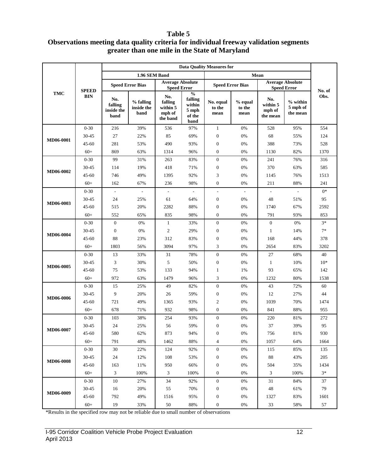#### **Table 5**

# **Observations meeting data quality criteria for individual freeway validation segments greater than one mile in the State of Maryland**

|                  |              | <b>Data Quality Measures for</b>     |                                 |                                                  |                                                               |                             |                           |                                       |                                  |        |  |
|------------------|--------------|--------------------------------------|---------------------------------|--------------------------------------------------|---------------------------------------------------------------|-----------------------------|---------------------------|---------------------------------------|----------------------------------|--------|--|
|                  |              |                                      | 1.96 SEM Band                   |                                                  |                                                               |                             |                           | Mean                                  |                                  |        |  |
|                  | <b>SPEED</b> |                                      | <b>Speed Error Bias</b>         | <b>Average Absolute</b><br><b>Speed Error</b>    |                                                               | <b>Speed Error Bias</b>     |                           | <b>Speed Error</b>                    | <b>Average Absolute</b>          | No. of |  |
| <b>TMC</b>       | <b>BIN</b>   | No.<br>falling<br>inside the<br>band | % falling<br>inside the<br>band | No.<br>falling<br>within 5<br>mph of<br>the band | $\frac{0}{0}$<br>falling<br>within<br>5 mph<br>of the<br>band | No. equal<br>to the<br>mean | % equal<br>to the<br>mean | No.<br>within 5<br>mph of<br>the mean | % within<br>5 mph of<br>the mean | Obs.   |  |
|                  | $0 - 30$     | 216                                  | 39%                             | 536                                              | 97%                                                           | $\mathbf{1}$                | 0%                        | 528                                   | 95%                              | 554    |  |
|                  | 30-45        | 27                                   | 22%                             | 85                                               | 69%                                                           | $\boldsymbol{0}$            | 0%                        | 68                                    | 55%                              | 124    |  |
| MD06-0001        | 45-60        | 281                                  | 53%                             | 490                                              | 93%                                                           | $\boldsymbol{0}$            | 0%                        | 388                                   | 73%                              | 528    |  |
|                  | $60+$        | 869                                  | 63%                             | 1314                                             | 96%                                                           | $\boldsymbol{0}$            | 0%                        | 1130                                  | 82%                              | 1370   |  |
|                  | $0 - 30$     | 99                                   | 31%                             | 263                                              | 83%                                                           | $\boldsymbol{0}$            | 0%                        | 241                                   | 76%                              | 316    |  |
|                  | 30-45        | 114                                  | 19%                             | 418                                              | 71%                                                           | $\boldsymbol{0}$            | 0%                        | 370                                   | 63%                              | 585    |  |
| <b>MD06-0002</b> | $45 - 60$    | 746                                  | 49%                             | 1395                                             | 92%                                                           | 3                           | 0%                        | 1145                                  | 76%                              | 1513   |  |
|                  | $60+$        | 162                                  | 67%                             | 236                                              | 98%                                                           | $\boldsymbol{0}$            | 0%                        | 211                                   | 88%                              | 241    |  |
|                  | $0 - 30$     | $\blacksquare$                       | $\Box$                          | $\overline{\phantom{a}}$                         | $\overline{\phantom{a}}$                                      | $\overline{\phantom{a}}$    | $\overline{\phantom{a}}$  | $\sim$                                | $\overline{\phantom{a}}$         | $0*$   |  |
| MD06-0003        | 30-45        | 24                                   | 25%                             | 61                                               | 64%                                                           | $\boldsymbol{0}$            | 0%                        | 48                                    | 51%                              | 95     |  |
|                  | $45 - 60$    | 515                                  | 20%                             | 2282                                             | 88%                                                           | $\boldsymbol{0}$            | 0%                        | 1740                                  | 67%                              | 2592   |  |
|                  | $60+$        | 552                                  | 65%                             | 835                                              | 98%                                                           | $\boldsymbol{0}$            | 0%                        | 791                                   | 93%                              | 853    |  |
|                  | $0 - 30$     | $\boldsymbol{0}$                     | 0%                              | $\mathbf{1}$                                     | 33%                                                           | $\boldsymbol{0}$            | 0%                        | $\boldsymbol{0}$                      | 0%                               | $3*$   |  |
|                  | 30-45        | $\boldsymbol{0}$                     | 0%                              | $\overline{c}$                                   | 29%                                                           | $\boldsymbol{0}$            | 0%                        | $\mathbf{1}$                          | 14%                              | $7*$   |  |
| MD06-0004        | 45-60        | 88                                   | 23%                             | 312                                              | 83%                                                           | $\boldsymbol{0}$            | 0%                        | 168                                   | 44%                              | 378    |  |
|                  | $60+$        | 1803                                 | 56%                             | 3094                                             | 97%                                                           | 3                           | 0%                        | 2654                                  | 83%                              | 3202   |  |
|                  | $0 - 30$     | 13                                   | 33%                             | 31                                               | 78%                                                           | $\boldsymbol{0}$            | 0%                        | 27                                    | 68%                              | 40     |  |
| MD06-0005        | 30-45        | 3                                    | 30%                             | 5                                                | 50%                                                           | $\boldsymbol{0}$            | 0%                        | $\mathbf{1}$                          | 10%                              | $10*$  |  |
|                  | 45-60        | 75                                   | 53%                             | 133                                              | 94%                                                           | $\mathbf{1}$                | 1%                        | 93                                    | 65%                              | 142    |  |
|                  | $60+$        | 972                                  | 63%                             | 1479                                             | 96%                                                           | 3                           | 0%                        | 1232                                  | 80%                              | 1538   |  |
|                  | $0 - 30$     | 15                                   | 25%                             | 49                                               | 82%                                                           | $\boldsymbol{0}$            | 0%                        | 43                                    | 72%                              | 60     |  |
| MD06-0006        | 30-45        | 9                                    | 20%                             | 26                                               | 59%                                                           | $\boldsymbol{0}$            | 0%                        | 12                                    | 27%                              | 44     |  |
|                  | 45-60        | 721                                  | 49%                             | 1365                                             | 93%                                                           | $\mathfrak{2}$              | 0%                        | 1039                                  | 70%                              | 1474   |  |
|                  | $60+$        | 678                                  | 71%                             | 932                                              | 98%                                                           | $\boldsymbol{0}$            | 0%                        | 841                                   | 88%                              | 955    |  |
|                  | $0 - 30$     | 103                                  | 38%                             | 254                                              | 93%                                                           | $\boldsymbol{0}$            | 0%                        | 220                                   | 81%                              | 272    |  |
|                  | 30-45        | 24                                   | 25%                             | 56                                               | 59%                                                           | $\boldsymbol{0}$            | 0%                        | 37                                    | 39%                              | 95     |  |
| MD06-0007        | 45-60        | 580                                  | 62%                             | 873                                              | 94%                                                           | $\boldsymbol{0}$            | $0\%$                     | 756                                   | 81%                              | 930    |  |
|                  | $60+$        | 791                                  | 48%                             | 1462                                             | 88%                                                           | 4                           | 0%                        | 1057                                  | 64%                              | 1664   |  |
|                  | $0 - 30$     | 30                                   | 22%                             | 124                                              | 92%                                                           | $\boldsymbol{0}$            | $0\%$                     | 115                                   | 85%                              | 135    |  |
|                  | 30-45        | 24                                   | 12%                             | 108                                              | 53%                                                           | $\boldsymbol{0}$            | $0\%$                     | 88                                    | 43%                              | 205    |  |
| <b>MD06-0008</b> | 45-60        | 163                                  | 11%                             | 950                                              | 66%                                                           | $\boldsymbol{0}$            | 0%                        | 504                                   | 35%                              | 1434   |  |
|                  | $60+$        | 3                                    | 100%                            | $\mathfrak{Z}$                                   | 100%                                                          | $\boldsymbol{0}$            | $0\%$                     | 3                                     | 100%                             | $3*$   |  |
|                  | $0 - 30$     | 10                                   | 27%                             | 34                                               | 92%                                                           | $\boldsymbol{0}$            | $0\%$                     | 31                                    | 84%                              | 37     |  |
|                  | 30-45        | 16                                   | 20%                             | 55                                               | 70%                                                           | $\boldsymbol{0}$            | $0\%$                     | 48                                    | 61%                              | 79     |  |
| MD06-0009        | 45-60        | 792                                  | 49%                             | 1516                                             | 95%                                                           | $\boldsymbol{0}$            | $0\%$                     | 1327                                  | 83%                              | 1601   |  |
|                  | $60+$        | 19                                   | 33%                             | 50                                               | 88%                                                           | $\boldsymbol{0}$            | $0\%$                     | 33                                    | 58%                              | 57     |  |